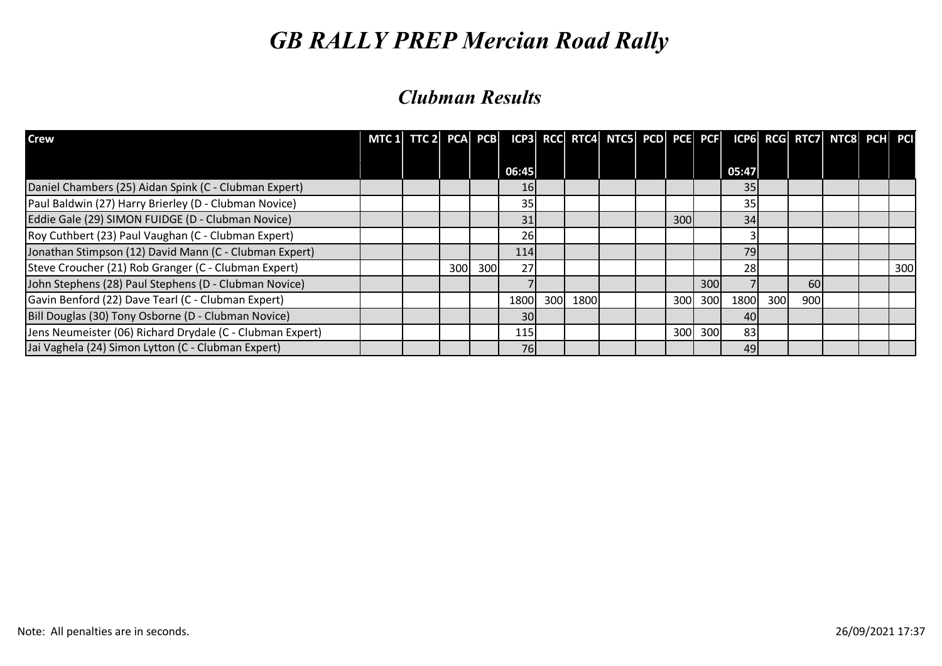| <b>Crew</b>                                               | MTC 1 $TTC$ 2 PCA PCB |     |      |            |     |      |  |            |     | ICP3 RCC RTC4 NTC5 PCD PCE PCF ICP6 RCG RTC7 NTC8 PCH PCI |     |           |  |     |
|-----------------------------------------------------------|-----------------------|-----|------|------------|-----|------|--|------------|-----|-----------------------------------------------------------|-----|-----------|--|-----|
|                                                           |                       |     |      | 06:45      |     |      |  |            |     | 05:47                                                     |     |           |  |     |
| Daniel Chambers (25) Aidan Spink (C - Clubman Expert)     |                       |     |      | 16         |     |      |  |            |     | 35                                                        |     |           |  |     |
| Paul Baldwin (27) Harry Brierley (D - Clubman Novice)     |                       |     |      | 35         |     |      |  |            |     | 35                                                        |     |           |  |     |
| Eddie Gale (29) SIMON FUIDGE (D - Clubman Novice)         |                       |     |      | 31         |     |      |  | <b>300</b> |     | 34                                                        |     |           |  |     |
| Roy Cuthbert (23) Paul Vaughan (C - Clubman Expert)       |                       |     |      | 26         |     |      |  |            |     |                                                           |     |           |  |     |
| Jonathan Stimpson (12) David Mann (C - Clubman Expert)    |                       |     |      | <b>114</b> |     |      |  |            |     | 79                                                        |     |           |  |     |
| Steve Croucher (21) Rob Granger (C - Clubman Expert)      |                       | 300 | 300l | 27         |     |      |  |            |     | 28                                                        |     |           |  | 300 |
| John Stephens (28) Paul Stephens (D - Clubman Novice)     |                       |     |      |            |     |      |  |            | 300 |                                                           |     | <b>60</b> |  |     |
| Gavin Benford (22) Dave Tearl (C - Clubman Expert)        |                       |     |      | 1800       | 300 | 1800 |  | 300        | 300 | 1800                                                      | 300 | 900       |  |     |
| Bill Douglas (30) Tony Osborne (D - Clubman Novice)       |                       |     |      | <b>30</b>  |     |      |  |            |     | 40                                                        |     |           |  |     |
| Jens Neumeister (06) Richard Drydale (C - Clubman Expert) |                       |     |      | <b>115</b> |     |      |  | 300        | 300 | 83                                                        |     |           |  |     |
| Jai Vaghela (24) Simon Lytton (C - Clubman Expert)        |                       |     |      | <b>76</b>  |     |      |  |            |     | 49                                                        |     |           |  |     |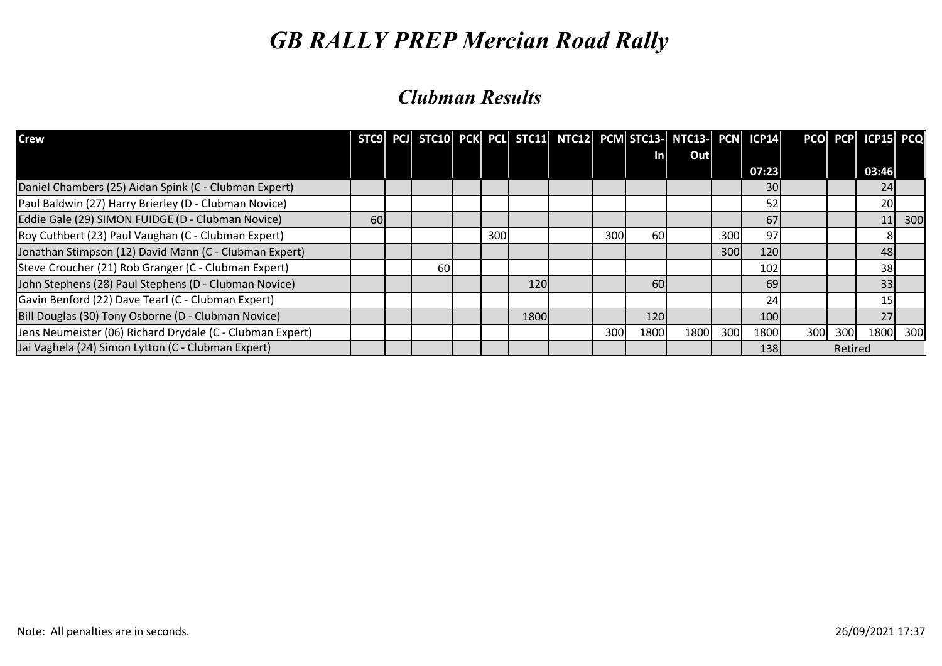| <b>Crew</b>                                               |    |           |     |      |     |            | STC9 PCJ STC10 PCK PCL STC11 NTC12 PCM STC13- NTC13- PCN ICP14 |     |            |     |         | PCO PCP ICP15 PCQ |     |
|-----------------------------------------------------------|----|-----------|-----|------|-----|------------|----------------------------------------------------------------|-----|------------|-----|---------|-------------------|-----|
|                                                           |    |           |     |      |     | <u>Inl</u> | Out                                                            |     |            |     |         |                   |     |
|                                                           |    |           |     |      |     |            |                                                                |     | 07:23      |     |         | 03:46             |     |
| Daniel Chambers (25) Aidan Spink (C - Clubman Expert)     |    |           |     |      |     |            |                                                                |     | 30         |     |         | 24                |     |
| Paul Baldwin (27) Harry Brierley (D - Clubman Novice)     |    |           |     |      |     |            |                                                                |     | 52         |     |         | 20                |     |
| Eddie Gale (29) SIMON FUIDGE (D - Clubman Novice)         | 60 |           |     |      |     |            |                                                                |     | 67         |     |         | 11                | 300 |
| Roy Cuthbert (23) Paul Vaughan (C - Clubman Expert)       |    |           | 300 |      | 300 | 60         |                                                                | 300 | 97         |     |         |                   |     |
| Jonathan Stimpson (12) David Mann (C - Clubman Expert)    |    |           |     |      |     |            |                                                                | 300 | 120        |     |         | 48                |     |
| Steve Croucher (21) Rob Granger (C - Clubman Expert)      |    | <b>60</b> |     |      |     |            |                                                                |     | 102        |     |         | 38                |     |
| John Stephens (28) Paul Stephens (D - Clubman Novice)     |    |           |     | 120  |     | 60         |                                                                |     | 69         |     |         | 33                |     |
| Gavin Benford (22) Dave Tearl (C - Clubman Expert)        |    |           |     |      |     |            |                                                                |     | 24         |     |         | 15                |     |
| Bill Douglas (30) Tony Osborne (D - Clubman Novice)       |    |           |     | 1800 |     | 120        |                                                                |     | 100        |     |         | 27                |     |
| Jens Neumeister (06) Richard Drydale (C - Clubman Expert) |    |           |     |      | 300 | 1800       | 1800                                                           | 300 | 1800       | 300 | 300     | 1800              | 300 |
| Jai Vaghela (24) Simon Lytton (C - Clubman Expert)        |    |           |     |      |     |            |                                                                |     | <b>138</b> |     | Retired |                   |     |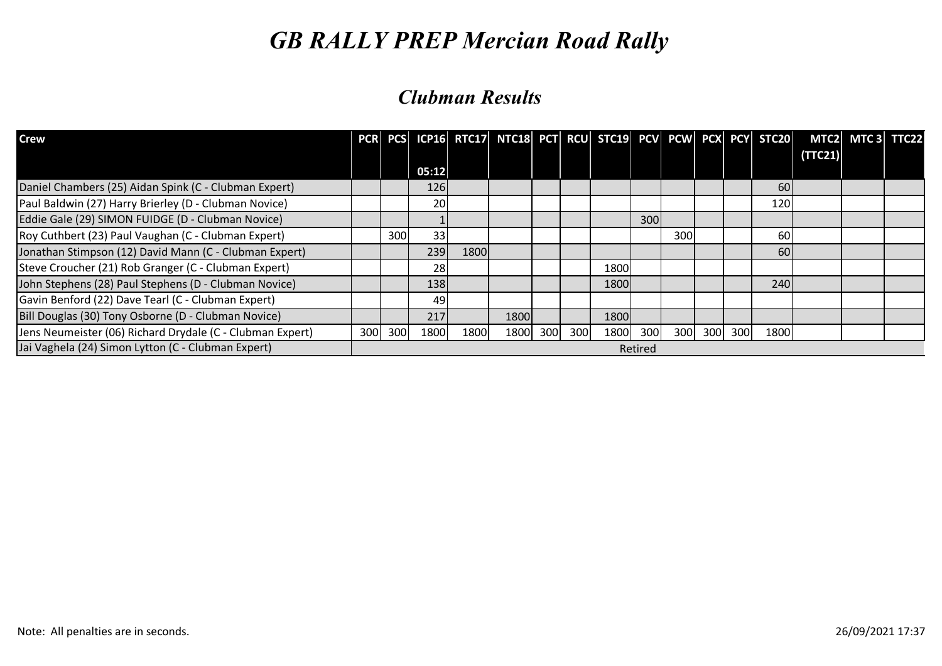| <b>Crew</b>                                               |     |     |           |      | PCR PCS ICP16 RTC17 NTC18 PCT RCU STC19 PCV PCW PCX PCY STC20 |     |     |      |         |     |             |            |         | MTC2 MTC3 TTC22 |  |
|-----------------------------------------------------------|-----|-----|-----------|------|---------------------------------------------------------------|-----|-----|------|---------|-----|-------------|------------|---------|-----------------|--|
|                                                           |     |     |           |      |                                                               |     |     |      |         |     |             |            | (TTC21) |                 |  |
|                                                           |     |     | 05:12     |      |                                                               |     |     |      |         |     |             |            |         |                 |  |
| Daniel Chambers (25) Aidan Spink (C - Clubman Expert)     |     |     | 126       |      |                                                               |     |     |      |         |     |             | <b>60l</b> |         |                 |  |
| Paul Baldwin (27) Harry Brierley (D - Clubman Novice)     |     |     | <b>20</b> |      |                                                               |     |     |      |         |     |             | 120        |         |                 |  |
| Eddie Gale (29) SIMON FUIDGE (D - Clubman Novice)         |     |     |           |      |                                                               |     |     |      | 300     |     |             |            |         |                 |  |
| Roy Cuthbert (23) Paul Vaughan (C - Clubman Expert)       |     | 300 | 33        |      |                                                               |     |     |      |         | 300 |             | 60         |         |                 |  |
| Jonathan Stimpson (12) David Mann (C - Clubman Expert)    |     |     | 239       | 1800 |                                                               |     |     |      |         |     |             | 60         |         |                 |  |
| Steve Croucher (21) Rob Granger (C - Clubman Expert)      |     |     | <b>28</b> |      |                                                               |     |     | 1800 |         |     |             |            |         |                 |  |
| John Stephens (28) Paul Stephens (D - Clubman Novice)     |     |     | 138       |      |                                                               |     |     | 1800 |         |     |             | 240        |         |                 |  |
| Gavin Benford (22) Dave Tearl (C - Clubman Expert)        |     |     | 49        |      |                                                               |     |     |      |         |     |             |            |         |                 |  |
| Bill Douglas (30) Tony Osborne (D - Clubman Novice)       |     |     | 217       |      | 1800                                                          |     |     | 1800 |         |     |             |            |         |                 |  |
| Jens Neumeister (06) Richard Drydale (C - Clubman Expert) | 300 | 300 | 1800      | 1800 | 1800                                                          | 300 | 300 | 1800 | 300     |     | 300 300 300 | 1800       |         |                 |  |
| Jai Vaghela (24) Simon Lytton (C - Clubman Expert)        |     |     |           |      |                                                               |     |     |      | Retired |     |             |            |         |                 |  |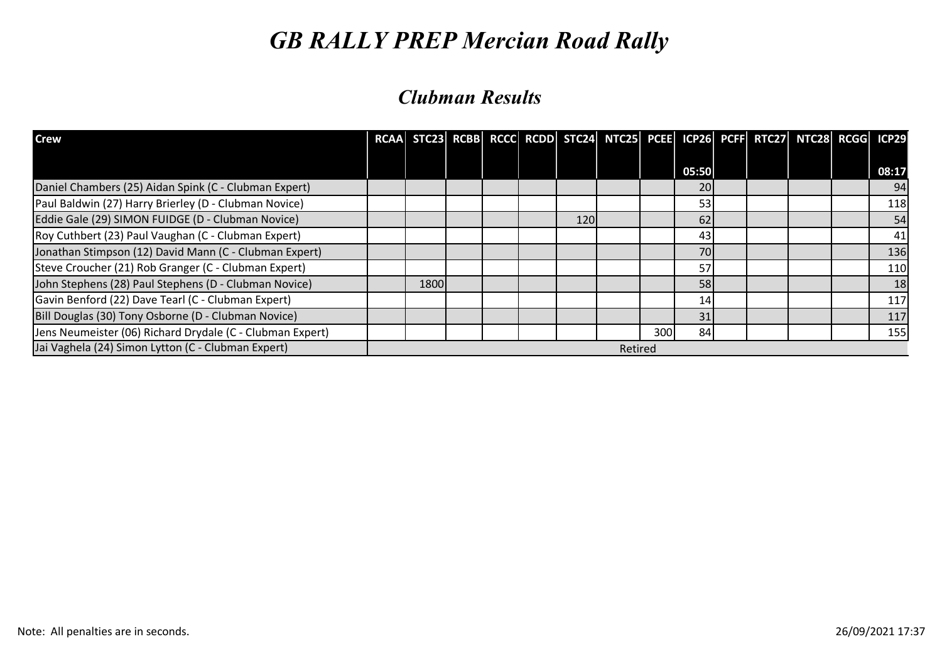| <b>Crew</b>                                               |      |  |            | RCAA STC23 RCBB RCCC RCDD STC24 NTC25 PCEE ICP26 PCFF RTC27 NTC28 RCGG ICP29 |      |       |  |  |       |
|-----------------------------------------------------------|------|--|------------|------------------------------------------------------------------------------|------|-------|--|--|-------|
|                                                           |      |  |            |                                                                              |      | 05:50 |  |  | 08:17 |
| Daniel Chambers (25) Aidan Spink (C - Clubman Expert)     |      |  |            |                                                                              |      | 20    |  |  | 94    |
| Paul Baldwin (27) Harry Brierley (D - Clubman Novice)     |      |  |            |                                                                              |      | 53    |  |  | 118   |
| Eddie Gale (29) SIMON FUIDGE (D - Clubman Novice)         |      |  | <b>120</b> |                                                                              |      | 62    |  |  | 54    |
| Roy Cuthbert (23) Paul Vaughan (C - Clubman Expert)       |      |  |            |                                                                              |      | 43    |  |  | 41    |
| Jonathan Stimpson (12) David Mann (C - Clubman Expert)    |      |  |            |                                                                              |      | 70    |  |  | 136   |
| Steve Croucher (21) Rob Granger (C - Clubman Expert)      |      |  |            |                                                                              |      | 57    |  |  | 110   |
| John Stephens (28) Paul Stephens (D - Clubman Novice)     | 1800 |  |            |                                                                              |      | 58    |  |  | 18    |
| Gavin Benford (22) Dave Tearl (C - Clubman Expert)        |      |  |            |                                                                              |      | 14    |  |  | 117   |
| Bill Douglas (30) Tony Osborne (D - Clubman Novice)       |      |  |            |                                                                              |      | 31    |  |  | 117   |
| Jens Neumeister (06) Richard Drydale (C - Clubman Expert) |      |  |            |                                                                              | 300l | 84    |  |  | 155   |
| Jai Vaghela (24) Simon Lytton (C - Clubman Expert)        |      |  |            | Retired                                                                      |      |       |  |  |       |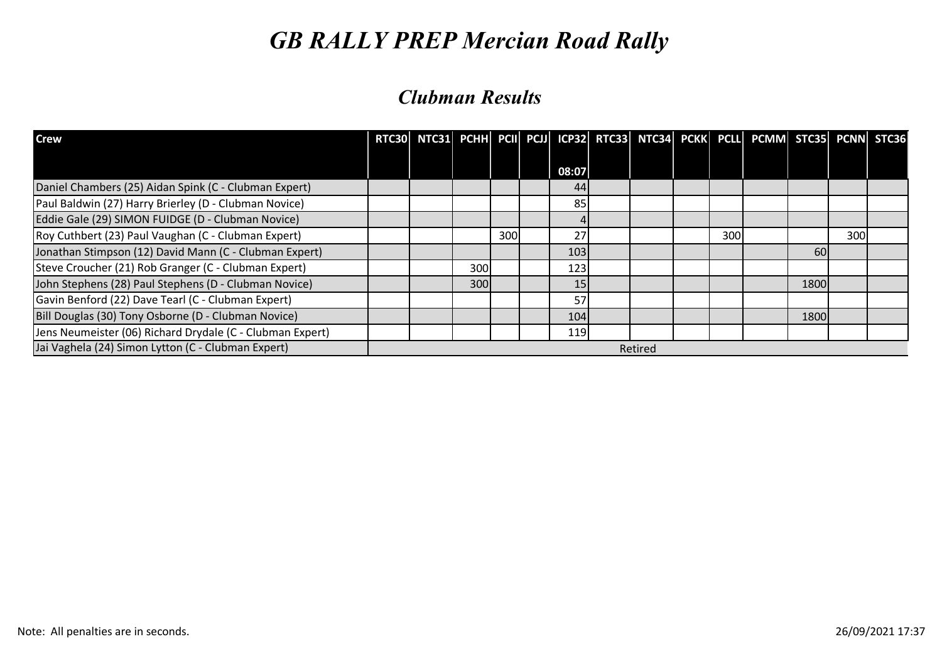| <b>Crew</b>                                               | RTC30 NTC31 PCHH PCII PCJJ ICP32 RTC33 NTC34 PCKK PCLL PCMM STC35 PCNN STC36 |     |     |       |         |     |      |     |  |
|-----------------------------------------------------------|------------------------------------------------------------------------------|-----|-----|-------|---------|-----|------|-----|--|
|                                                           |                                                                              |     |     | 08:07 |         |     |      |     |  |
| Daniel Chambers (25) Aidan Spink (C - Clubman Expert)     |                                                                              |     |     | 44    |         |     |      |     |  |
| Paul Baldwin (27) Harry Brierley (D - Clubman Novice)     |                                                                              |     |     | 85    |         |     |      |     |  |
| Eddie Gale (29) SIMON FUIDGE (D - Clubman Novice)         |                                                                              |     |     |       |         |     |      |     |  |
| Roy Cuthbert (23) Paul Vaughan (C - Clubman Expert)       |                                                                              |     | 300 | 27    |         | 300 |      | 300 |  |
| Jonathan Stimpson (12) David Mann (C - Clubman Expert)    |                                                                              |     |     | 103   |         |     | 60   |     |  |
| Steve Croucher (21) Rob Granger (C - Clubman Expert)      |                                                                              | 300 |     | 123   |         |     |      |     |  |
| John Stephens (28) Paul Stephens (D - Clubman Novice)     |                                                                              | 300 |     | 15    |         |     | 1800 |     |  |
| Gavin Benford (22) Dave Tearl (C - Clubman Expert)        |                                                                              |     |     | 57    |         |     |      |     |  |
| Bill Douglas (30) Tony Osborne (D - Clubman Novice)       |                                                                              |     |     | 104   |         |     | 1800 |     |  |
| Jens Neumeister (06) Richard Drydale (C - Clubman Expert) |                                                                              |     |     | 119   |         |     |      |     |  |
| Jai Vaghela (24) Simon Lytton (C - Clubman Expert)        |                                                                              |     |     |       | Retired |     |      |     |  |